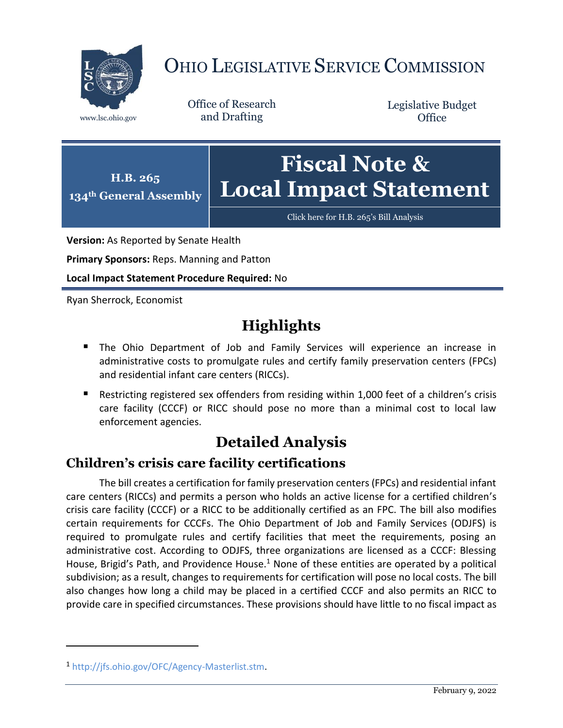

# OHIO LEGISLATIVE SERVICE COMMISSION

Office of Research www.lsc.ohio.gov and Drafting

Legislative Budget **Office** 



[Click here for H.B. 265](https://www.legislature.ohio.gov/legislation/legislation-documents?id=GA134-HB-265)'s Bill Analysis

**Version:** As Reported by Senate Health

**Primary Sponsors:** Reps. Manning and Patton

**Local Impact Statement Procedure Required:** No

Ryan Sherrock, Economist

## **Highlights**

- **The Ohio Department of Job and Family Services will experience an increase in** administrative costs to promulgate rules and certify family preservation centers (FPCs) and residential infant care centers (RICCs).
- Restricting registered sex offenders from residing within 1,000 feet of a children's crisis care facility (CCCF) or RICC should pose no more than a minimal cost to local law enforcement agencies.

## **Detailed Analysis**

### **Children's crisis care facility certifications**

The bill creates a certification for family preservation centers (FPCs) and residential infant care centers (RICCs) and permits a person who holds an active license for a certified children's crisis care facility (CCCF) or a RICC to be additionally certified as an FPC. The bill also modifies certain requirements for CCCFs. The Ohio Department of Job and Family Services (ODJFS) is required to promulgate rules and certify facilities that meet the requirements, posing an administrative cost. According to ODJFS, three organizations are licensed as a CCCF: Blessing House, Brigid's Path, and Providence House.<sup>1</sup> None of these entities are operated by a political subdivision; as a result, changes to requirements for certification will pose no local costs. The bill also changes how long a child may be placed in a certified CCCF and also permits an RICC to provide care in specified circumstances. These provisions should have little to no fiscal impact as

 $\overline{a}$ 

<sup>1</sup> [http://jfs.ohio.gov/OFC/Agency-Masterlist.stm.](http://jfs.ohio.gov/OFC/Agency-Masterlist.stm)